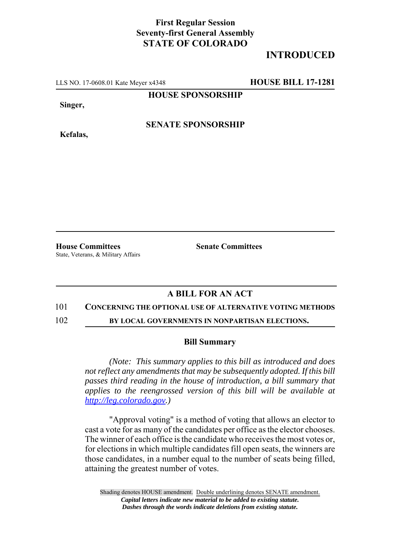## **First Regular Session Seventy-first General Assembly STATE OF COLORADO**

# **INTRODUCED**

LLS NO. 17-0608.01 Kate Meyer x4348 **HOUSE BILL 17-1281**

**HOUSE SPONSORSHIP**

**Singer,**

**Kefalas,**

**SENATE SPONSORSHIP**

**House Committees Senate Committees** 

State, Veterans, & Military Affairs

### **A BILL FOR AN ACT**

### 101 **CONCERNING THE OPTIONAL USE OF ALTERNATIVE VOTING METHODS**

102 **BY LOCAL GOVERNMENTS IN NONPARTISAN ELECTIONS.**

### **Bill Summary**

*(Note: This summary applies to this bill as introduced and does not reflect any amendments that may be subsequently adopted. If this bill passes third reading in the house of introduction, a bill summary that applies to the reengrossed version of this bill will be available at http://leg.colorado.gov.)*

"Approval voting" is a method of voting that allows an elector to cast a vote for as many of the candidates per office as the elector chooses. The winner of each office is the candidate who receives the most votes or, for elections in which multiple candidates fill open seats, the winners are those candidates, in a number equal to the number of seats being filled, attaining the greatest number of votes.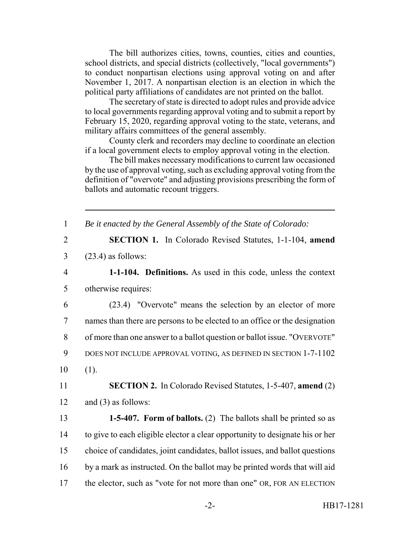The bill authorizes cities, towns, counties, cities and counties, school districts, and special districts (collectively, "local governments") to conduct nonpartisan elections using approval voting on and after November 1, 2017. A nonpartisan election is an election in which the political party affiliations of candidates are not printed on the ballot.

The secretary of state is directed to adopt rules and provide advice to local governments regarding approval voting and to submit a report by February 15, 2020, regarding approval voting to the state, veterans, and military affairs committees of the general assembly.

County clerk and recorders may decline to coordinate an election if a local government elects to employ approval voting in the election.

The bill makes necessary modifications to current law occasioned by the use of approval voting, such as excluding approval voting from the definition of "overvote" and adjusting provisions prescribing the form of ballots and automatic recount triggers.

1 *Be it enacted by the General Assembly of the State of Colorado:*

- 2 **SECTION 1.** In Colorado Revised Statutes, 1-1-104, **amend** 3 (23.4) as follows:
- 4 **1-1-104. Definitions.** As used in this code, unless the context 5 otherwise requires:

 (23.4) "Overvote" means the selection by an elector of more names than there are persons to be elected to an office or the designation of more than one answer to a ballot question or ballot issue. "OVERVOTE" DOES NOT INCLUDE APPROVAL VOTING, AS DEFINED IN SECTION 1-7-1102  $10 \t(1)$ .

11 **SECTION 2.** In Colorado Revised Statutes, 1-5-407, **amend** (2) 12 and (3) as follows:

 **1-5-407. Form of ballots.** (2) The ballots shall be printed so as to give to each eligible elector a clear opportunity to designate his or her choice of candidates, joint candidates, ballot issues, and ballot questions by a mark as instructed. On the ballot may be printed words that will aid 17 the elector, such as "vote for not more than one" OR, FOR AN ELECTION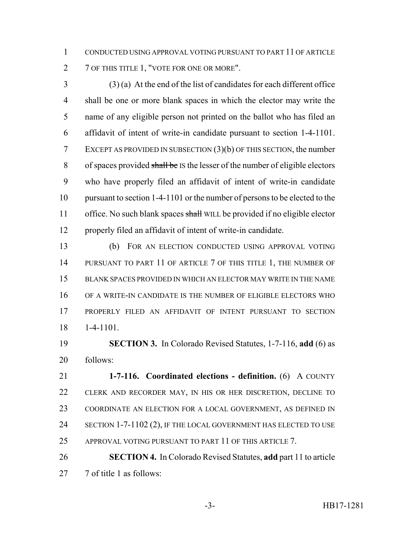CONDUCTED USING APPROVAL VOTING PURSUANT TO PART 11 OF ARTICLE 2 7 OF THIS TITLE 1, "VOTE FOR ONE OR MORE".

 (3) (a) At the end of the list of candidates for each different office shall be one or more blank spaces in which the elector may write the name of any eligible person not printed on the ballot who has filed an affidavit of intent of write-in candidate pursuant to section 1-4-1101. EXCEPT AS PROVIDED IN SUBSECTION (3)(b) OF THIS SECTION, the number of spaces provided shall be IS the lesser of the number of eligible electors who have properly filed an affidavit of intent of write-in candidate pursuant to section 1-4-1101 or the number of persons to be elected to the 11 office. No such blank spaces shall WILL be provided if no eligible elector properly filed an affidavit of intent of write-in candidate.

 (b) FOR AN ELECTION CONDUCTED USING APPROVAL VOTING 14 PURSUANT TO PART 11 OF ARTICLE 7 OF THIS TITLE 1, THE NUMBER OF BLANK SPACES PROVIDED IN WHICH AN ELECTOR MAY WRITE IN THE NAME OF A WRITE-IN CANDIDATE IS THE NUMBER OF ELIGIBLE ELECTORS WHO PROPERLY FILED AN AFFIDAVIT OF INTENT PURSUANT TO SECTION 1-4-1101.

 **SECTION 3.** In Colorado Revised Statutes, 1-7-116, **add** (6) as follows:

 **1-7-116. Coordinated elections - definition.** (6) A COUNTY CLERK AND RECORDER MAY, IN HIS OR HER DISCRETION, DECLINE TO COORDINATE AN ELECTION FOR A LOCAL GOVERNMENT, AS DEFINED IN 24 SECTION 1-7-1102 (2), IF THE LOCAL GOVERNMENT HAS ELECTED TO USE 25 APPROVAL VOTING PURSUANT TO PART 11 OF THIS ARTICLE 7.

 **SECTION 4.** In Colorado Revised Statutes, **add** part 11 to article 7 of title 1 as follows: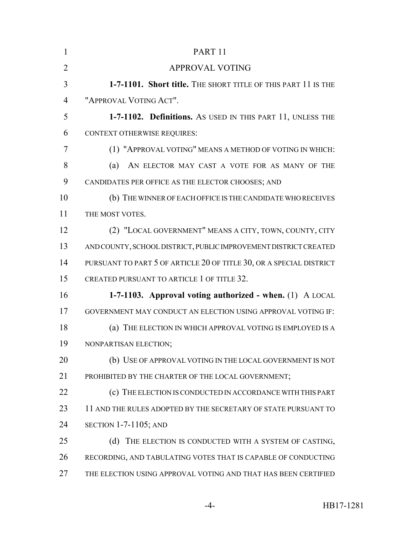| $\mathbf{1}$   | PART <sub>11</sub>                                                  |
|----------------|---------------------------------------------------------------------|
| $\overline{2}$ | <b>APPROVAL VOTING</b>                                              |
| 3              | 1-7-1101. Short title. THE SHORT TITLE OF THIS PART 11 IS THE       |
| 4              | "APPROVAL VOTING ACT".                                              |
| 5              | 1-7-1102. Definitions. As USED IN THIS PART 11, UNLESS THE          |
| 6              | <b>CONTEXT OTHERWISE REQUIRES:</b>                                  |
| 7              | (1) "APPROVAL VOTING" MEANS A METHOD OF VOTING IN WHICH:            |
| 8              | AN ELECTOR MAY CAST A VOTE FOR AS MANY OF THE<br>(a)                |
| 9              | CANDIDATES PER OFFICE AS THE ELECTOR CHOOSES; AND                   |
| 10             | (b) THE WINNER OF EACH OFFICE IS THE CANDIDATE WHO RECEIVES         |
| 11             | THE MOST VOTES.                                                     |
| 12             | (2) "LOCAL GOVERNMENT" MEANS A CITY, TOWN, COUNTY, CITY             |
| 13             | AND COUNTY, SCHOOL DISTRICT, PUBLIC IMPROVEMENT DISTRICT CREATED    |
| 14             | PURSUANT TO PART 5 OF ARTICLE 20 OF TITLE 30, OR A SPECIAL DISTRICT |
| 15             | CREATED PURSUANT TO ARTICLE 1 OF TITLE 32.                          |
| 16             | 1-7-1103. Approval voting authorized - when. (1) A LOCAL            |
| 17             | GOVERNMENT MAY CONDUCT AN ELECTION USING APPROVAL VOTING IF:        |
| 18             | (a) THE ELECTION IN WHICH APPROVAL VOTING IS EMPLOYED IS A          |
| 19             | NONPARTISAN ELECTION:                                               |
| 20             | (b) USE OF APPROVAL VOTING IN THE LOCAL GOVERNMENT IS NOT           |
| 21             | PROHIBITED BY THE CHARTER OF THE LOCAL GOVERNMENT;                  |
| 22             | (c) THE ELECTION IS CONDUCTED IN ACCORDANCE WITH THIS PART          |
| 23             | 11 AND THE RULES ADOPTED BY THE SECRETARY OF STATE PURSUANT TO      |
| 24             | SECTION $1-7-1105$ ; AND                                            |
| 25             | (d)<br>THE ELECTION IS CONDUCTED WITH A SYSTEM OF CASTING,          |
| 26             | RECORDING, AND TABULATING VOTES THAT IS CAPABLE OF CONDUCTING       |
| 27             | THE ELECTION USING APPROVAL VOTING AND THAT HAS BEEN CERTIFIED      |
|                |                                                                     |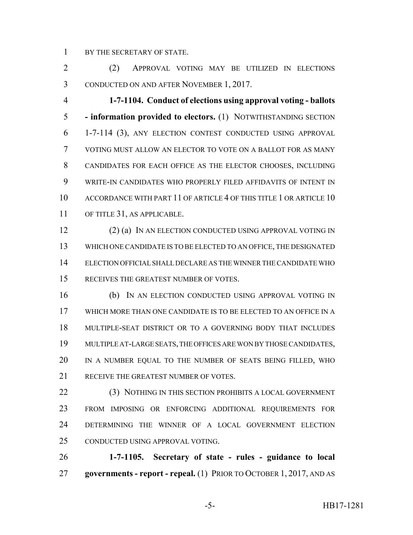BY THE SECRETARY OF STATE.

 (2) APPROVAL VOTING MAY BE UTILIZED IN ELECTIONS CONDUCTED ON AND AFTER NOVEMBER 1, 2017.

 **1-7-1104. Conduct of elections using approval voting - ballots - information provided to electors.** (1) NOTWITHSTANDING SECTION 1-7-114 (3), ANY ELECTION CONTEST CONDUCTED USING APPROVAL VOTING MUST ALLOW AN ELECTOR TO VOTE ON A BALLOT FOR AS MANY CANDIDATES FOR EACH OFFICE AS THE ELECTOR CHOOSES, INCLUDING WRITE-IN CANDIDATES WHO PROPERLY FILED AFFIDAVITS OF INTENT IN ACCORDANCE WITH PART 11 OF ARTICLE 4 OF THIS TITLE 1 OR ARTICLE 10 OF TITLE 31, AS APPLICABLE.

12 (2) (a) IN AN ELECTION CONDUCTED USING APPROVAL VOTING IN WHICH ONE CANDIDATE IS TO BE ELECTED TO AN OFFICE, THE DESIGNATED ELECTION OFFICIAL SHALL DECLARE AS THE WINNER THE CANDIDATE WHO RECEIVES THE GREATEST NUMBER OF VOTES.

 (b) IN AN ELECTION CONDUCTED USING APPROVAL VOTING IN WHICH MORE THAN ONE CANDIDATE IS TO BE ELECTED TO AN OFFICE IN A MULTIPLE-SEAT DISTRICT OR TO A GOVERNING BODY THAT INCLUDES MULTIPLE AT-LARGE SEATS, THE OFFICES ARE WON BY THOSE CANDIDATES, IN A NUMBER EQUAL TO THE NUMBER OF SEATS BEING FILLED, WHO 21 RECEIVE THE GREATEST NUMBER OF VOTES.

 (3) NOTHING IN THIS SECTION PROHIBITS A LOCAL GOVERNMENT FROM IMPOSING OR ENFORCING ADDITIONAL REQUIREMENTS FOR DETERMINING THE WINNER OF A LOCAL GOVERNMENT ELECTION CONDUCTED USING APPROVAL VOTING.

 **1-7-1105. Secretary of state - rules - guidance to local governments - report - repeal.** (1) PRIOR TO OCTOBER 1, 2017, AND AS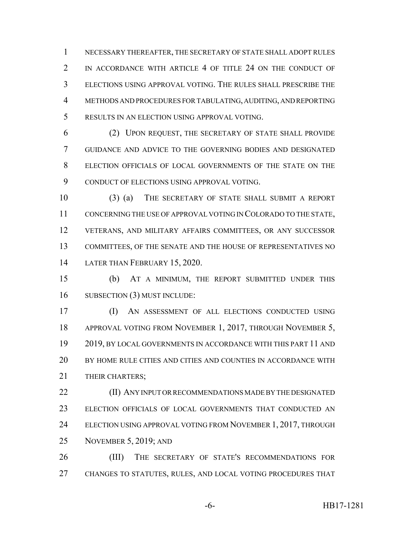NECESSARY THEREAFTER, THE SECRETARY OF STATE SHALL ADOPT RULES 2 IN ACCORDANCE WITH ARTICLE 4 OF TITLE 24 ON THE CONDUCT OF ELECTIONS USING APPROVAL VOTING. THE RULES SHALL PRESCRIBE THE METHODS AND PROCEDURES FOR TABULATING, AUDITING, AND REPORTING RESULTS IN AN ELECTION USING APPROVAL VOTING.

 (2) UPON REQUEST, THE SECRETARY OF STATE SHALL PROVIDE GUIDANCE AND ADVICE TO THE GOVERNING BODIES AND DESIGNATED ELECTION OFFICIALS OF LOCAL GOVERNMENTS OF THE STATE ON THE 9 CONDUCT OF ELECTIONS USING APPROVAL VOTING.

 (3) (a) THE SECRETARY OF STATE SHALL SUBMIT A REPORT CONCERNING THE USE OF APPROVAL VOTING IN COLORADO TO THE STATE, VETERANS, AND MILITARY AFFAIRS COMMITTEES, OR ANY SUCCESSOR COMMITTEES, OF THE SENATE AND THE HOUSE OF REPRESENTATIVES NO LATER THAN FEBRUARY 15, 2020.

 (b) AT A MINIMUM, THE REPORT SUBMITTED UNDER THIS 16 SUBSECTION (3) MUST INCLUDE:

 (I) AN ASSESSMENT OF ALL ELECTIONS CONDUCTED USING APPROVAL VOTING FROM NOVEMBER 1, 2017, THROUGH NOVEMBER 5, 2019, BY LOCAL GOVERNMENTS IN ACCORDANCE WITH THIS PART 11 AND BY HOME RULE CITIES AND CITIES AND COUNTIES IN ACCORDANCE WITH 21 THEIR CHARTERS:

**(II) ANY INPUT OR RECOMMENDATIONS MADE BY THE DESIGNATED**  ELECTION OFFICIALS OF LOCAL GOVERNMENTS THAT CONDUCTED AN 24 ELECTION USING APPROVAL VOTING FROM NOVEMBER 1, 2017, THROUGH NOVEMBER 5, 2019; AND

 (III) THE SECRETARY OF STATE'S RECOMMENDATIONS FOR CHANGES TO STATUTES, RULES, AND LOCAL VOTING PROCEDURES THAT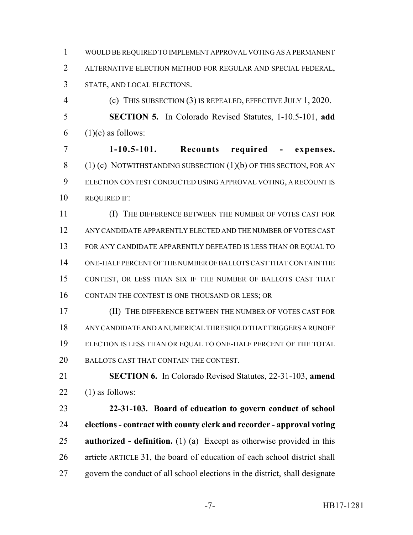WOULD BE REQUIRED TO IMPLEMENT APPROVAL VOTING AS A PERMANENT ALTERNATIVE ELECTION METHOD FOR REGULAR AND SPECIAL FEDERAL, STATE, AND LOCAL ELECTIONS.

 (c) THIS SUBSECTION (3) IS REPEALED, EFFECTIVE JULY 1, 2020. **SECTION 5.** In Colorado Revised Statutes, 1-10.5-101, **add** 6  $(1)(c)$  as follows:

 **1-10.5-101. Recounts required - expenses.**  $(1)$  (c) NOTWITHSTANDING SUBSECTION  $(1)(b)$  OF THIS SECTION, FOR AN ELECTION CONTEST CONDUCTED USING APPROVAL VOTING, A RECOUNT IS REQUIRED IF:

 (I) THE DIFFERENCE BETWEEN THE NUMBER OF VOTES CAST FOR ANY CANDIDATE APPARENTLY ELECTED AND THE NUMBER OF VOTES CAST FOR ANY CANDIDATE APPARENTLY DEFEATED IS LESS THAN OR EQUAL TO ONE-HALF PERCENT OF THE NUMBER OF BALLOTS CAST THAT CONTAIN THE CONTEST, OR LESS THAN SIX IF THE NUMBER OF BALLOTS CAST THAT 16 CONTAIN THE CONTEST IS ONE THOUSAND OR LESS; OR

 (II) THE DIFFERENCE BETWEEN THE NUMBER OF VOTES CAST FOR ANY CANDIDATE AND A NUMERICAL THRESHOLD THAT TRIGGERS A RUNOFF ELECTION IS LESS THAN OR EQUAL TO ONE-HALF PERCENT OF THE TOTAL BALLOTS CAST THAT CONTAIN THE CONTEST.

 **SECTION 6.** In Colorado Revised Statutes, 22-31-103, **amend** 22  $(1)$  as follows:

 **22-31-103. Board of education to govern conduct of school elections - contract with county clerk and recorder - approval voting authorized - definition.** (1) (a) Except as otherwise provided in this 26 article ARTICLE 31, the board of education of each school district shall govern the conduct of all school elections in the district, shall designate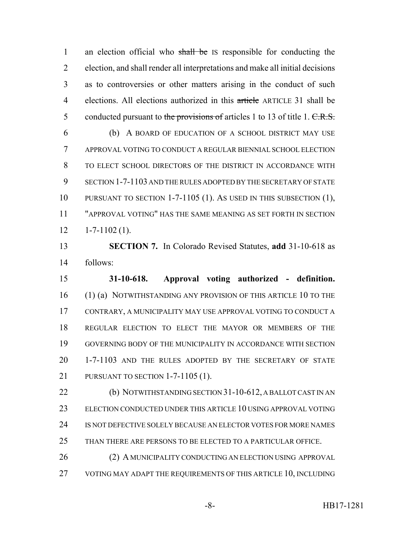1 an election official who shall be IS responsible for conducting the election, and shall render all interpretations and make all initial decisions as to controversies or other matters arising in the conduct of such elections. All elections authorized in this article ARTICLE 31 shall be 5 conducted pursuant to the provisions of articles 1 to 13 of title 1. C.R.S. (b) A BOARD OF EDUCATION OF A SCHOOL DISTRICT MAY USE APPROVAL VOTING TO CONDUCT A REGULAR BIENNIAL SCHOOL ELECTION TO ELECT SCHOOL DIRECTORS OF THE DISTRICT IN ACCORDANCE WITH SECTION 1-7-1103 AND THE RULES ADOPTED BY THE SECRETARY OF STATE PURSUANT TO SECTION 1-7-1105 (1). AS USED IN THIS SUBSECTION (1), "APPROVAL VOTING" HAS THE SAME MEANING AS SET FORTH IN SECTION  $12 \t1-7-1102 \t(1).$ 

 **SECTION 7.** In Colorado Revised Statutes, **add** 31-10-618 as follows:

 **31-10-618. Approval voting authorized - definition.** (1) (a) NOTWITHSTANDING ANY PROVISION OF THIS ARTICLE 10 TO THE CONTRARY, A MUNICIPALITY MAY USE APPROVAL VOTING TO CONDUCT A REGULAR ELECTION TO ELECT THE MAYOR OR MEMBERS OF THE GOVERNING BODY OF THE MUNICIPALITY IN ACCORDANCE WITH SECTION 1-7-1103 AND THE RULES ADOPTED BY THE SECRETARY OF STATE PURSUANT TO SECTION 1-7-1105 (1).

22 (b) NOTWITHSTANDING SECTION 31-10-612, A BALLOT CAST IN AN ELECTION CONDUCTED UNDER THIS ARTICLE 10 USING APPROVAL VOTING IS NOT DEFECTIVE SOLELY BECAUSE AN ELECTOR VOTES FOR MORE NAMES THAN THERE ARE PERSONS TO BE ELECTED TO A PARTICULAR OFFICE.

26 (2) A MUNICIPALITY CONDUCTING AN ELECTION USING APPROVAL VOTING MAY ADAPT THE REQUIREMENTS OF THIS ARTICLE 10, INCLUDING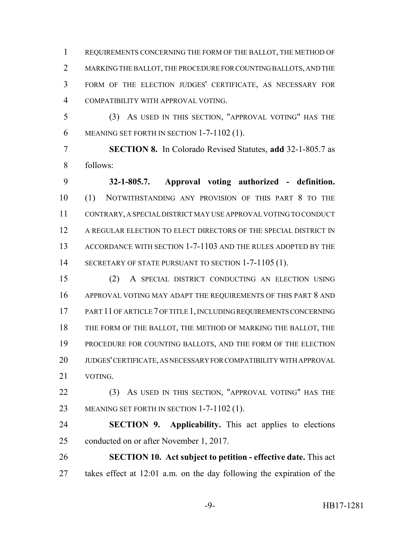REQUIREMENTS CONCERNING THE FORM OF THE BALLOT, THE METHOD OF MARKING THE BALLOT, THE PROCEDURE FOR COUNTING BALLOTS, AND THE FORM OF THE ELECTION JUDGES' CERTIFICATE, AS NECESSARY FOR COMPATIBILITY WITH APPROVAL VOTING.

 (3) AS USED IN THIS SECTION, "APPROVAL VOTING" HAS THE MEANING SET FORTH IN SECTION 1-7-1102 (1).

 **SECTION 8.** In Colorado Revised Statutes, **add** 32-1-805.7 as follows:

 **32-1-805.7. Approval voting authorized - definition.** (1) NOTWITHSTANDING ANY PROVISION OF THIS PART 8 TO THE CONTRARY, A SPECIAL DISTRICT MAY USE APPROVAL VOTING TO CONDUCT A REGULAR ELECTION TO ELECT DIRECTORS OF THE SPECIAL DISTRICT IN ACCORDANCE WITH SECTION 1-7-1103 AND THE RULES ADOPTED BY THE 14 SECRETARY OF STATE PURSUANT TO SECTION 1-7-1105 (1).

 (2) A SPECIAL DISTRICT CONDUCTING AN ELECTION USING APPROVAL VOTING MAY ADAPT THE REQUIREMENTS OF THIS PART 8 AND 17 PART 11 OF ARTICLE 7 OF TITLE 1, INCLUDING REQUIREMENTS CONCERNING THE FORM OF THE BALLOT, THE METHOD OF MARKING THE BALLOT, THE PROCEDURE FOR COUNTING BALLOTS, AND THE FORM OF THE ELECTION JUDGES' CERTIFICATE, AS NECESSARY FOR COMPATIBILITY WITH APPROVAL VOTING.

22 (3) AS USED IN THIS SECTION, "APPROVAL VOTING" HAS THE MEANING SET FORTH IN SECTION 1-7-1102 (1).

 **SECTION 9. Applicability.** This act applies to elections conducted on or after November 1, 2017.

 **SECTION 10. Act subject to petition - effective date.** This act takes effect at 12:01 a.m. on the day following the expiration of the